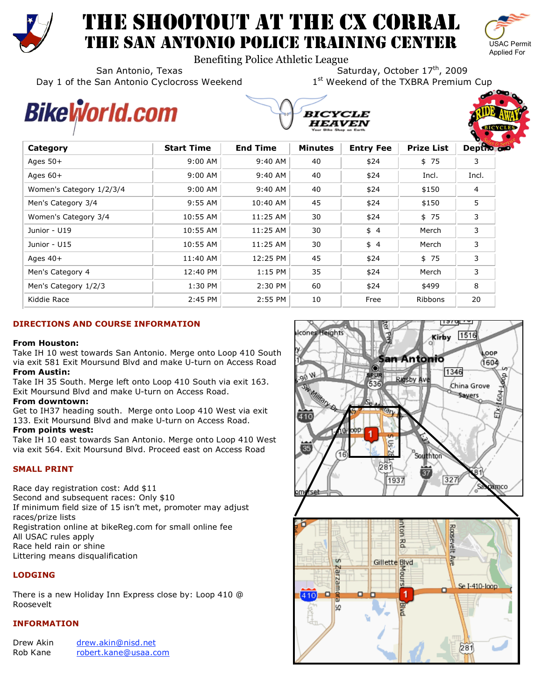

# THE SHOOTOUT AT THE CX CORRAL THE SAN ANTONIO POLICE TRAINING CENTER



Benefiting Police Athletic League

San Antonio, Texas San Antonio, Texas San Antonio, Texas<br>San Antonio Cyclocross Weekend San Antonio Cyclocross Weekend Day 1 of the San Antonio Cyclocross Weekend

# Bikel<sub>i</sub>vorld.com





| Category                 | <b>Start Time</b> | <b>End Time</b> | <b>Minutes</b> | <b>Entry Fee</b> | <b>Prize List</b> | Depths of |
|--------------------------|-------------------|-----------------|----------------|------------------|-------------------|-----------|
| Ages $50+$               | $9:00$ AM         | 9:40 AM         | 40             | \$24             | \$75              | 3         |
| Ages $60+$               | $9:00$ AM         | 9:40 AM         | 40             | \$24             | Incl.             | Incl.     |
| Women's Category 1/2/3/4 | $9:00$ AM         | 9:40 AM         | 40             | \$24             | \$150             | 4         |
| Men's Category 3/4       | $9:55$ AM         | 10:40 AM        | 45             | \$24             | \$150             | 5         |
| Women's Category 3/4     | 10:55 AM          | 11:25 AM        | 30             | \$24             | \$75              | 3         |
| Junior - U19             | 10:55 AM          | 11:25 AM        | 30             | \$4              | Merch             | 3         |
| Junior - U15             | 10:55 AM          | 11:25 AM        | 30             | \$4              | Merch             | 3         |
| Ages $40+$               | 11:40 AM          | 12:25 PM        | 45             | \$24             | \$75              | 3         |
| Men's Category 4         | 12:40 PM          | $1:15$ PM       | 35             | \$24             | Merch             | 3         |
| Men's Category 1/2/3     | 1:30 PM           | 2:30 PM         | 60             | \$24             | \$499             | 8         |
| Kiddie Race              | 2:45 PM           | $2:55$ PM       | 10             | Free             | Ribbons           | 20        |

# **DIRECTIONS AND COURSE INFORMATION**

## **From Houston:**

Take IH 10 west towards San Antonio. Merge onto Loop 410 South via exit 581 Exit Moursund Blvd and make U-turn on Access Road **From Austin:** 

Take IH 35 South. Merge left onto Loop 410 South via exit 163. Exit Moursund Blvd and make U-turn on Access Road.

## **From downtown:**

Get to IH37 heading south. Merge onto Loop 410 West via exit 133. Exit Moursund Blvd and make U-turn on Access Road.

# **From points west:**

Take IH 10 east towards San Antonio. Merge onto Loop 410 West via exit 564. Exit Moursund Blvd. Proceed east on Access Road

# **SMALL PRINT**

Race day registration cost: Add \$11 Second and subsequent races: Only \$10 If minimum field size of 15 isn't met, promoter may adjust races/prize lists Registration online at bikeReg.com for small online fee All USAC rules apply Race held rain or shine Littering means disqualification

# **LODGING**

There is a new Holiday Inn Express close by: Loop 410 @ Roosevelt

## **INFORMATION**

| Drew Akin | drew.akin@nisd.net   |
|-----------|----------------------|
| Rob Kane  | robert.kane@usaa.com |